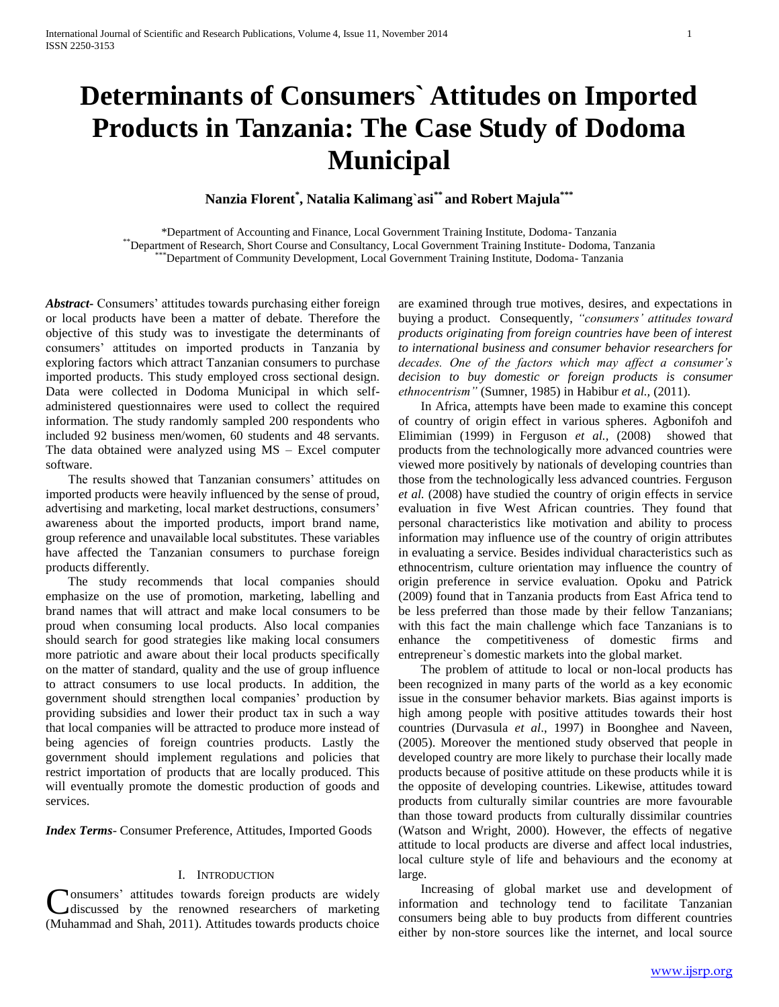# **Determinants of Consumers` Attitudes on Imported Products in Tanzania: The Case Study of Dodoma Municipal**

**Nanzia Florent\* , Natalia Kalimang`asi\*\* and Robert Majula\*\*\***

\*Department of Accounting and Finance, Local Government Training Institute, Dodoma- Tanzania \*\*Department of Research, Short Course and Consultancy, Local Government Training Institute- Dodoma, Tanzania \*\*\*Department of Community Development, Local Government Training Institute, Dodoma- Tanzania

Abstract Consumers' attitudes towards purchasing either foreign or local products have been a matter of debate. Therefore the objective of this study was to investigate the determinants of consumers" attitudes on imported products in Tanzania by exploring factors which attract Tanzanian consumers to purchase imported products. This study employed cross sectional design. Data were collected in Dodoma Municipal in which selfadministered questionnaires were used to collect the required information. The study randomly sampled 200 respondents who included 92 business men/women, 60 students and 48 servants. The data obtained were analyzed using MS – Excel computer software.

The results showed that Tanzanian consumers' attitudes on imported products were heavily influenced by the sense of proud, advertising and marketing, local market destructions, consumers' awareness about the imported products, import brand name, group reference and unavailable local substitutes. These variables have affected the Tanzanian consumers to purchase foreign products differently.

 The study recommends that local companies should emphasize on the use of promotion, marketing, labelling and brand names that will attract and make local consumers to be proud when consuming local products. Also local companies should search for good strategies like making local consumers more patriotic and aware about their local products specifically on the matter of standard, quality and the use of group influence to attract consumers to use local products. In addition, the government should strengthen local companies" production by providing subsidies and lower their product tax in such a way that local companies will be attracted to produce more instead of being agencies of foreign countries products. Lastly the government should implement regulations and policies that restrict importation of products that are locally produced. This will eventually promote the domestic production of goods and services.

*Index Terms*- Consumer Preference, Attitudes, Imported Goods

### I. INTRODUCTION

onsumers" attitudes towards foreign products are widely discussed by the renowned researchers of marketing Consumers' attitudes towards foreign products are widely<br>discussed by the renowned researchers of marketing<br>(Muhammad and Shah, 2011). Attitudes towards products choice are examined through true motives, desires, and expectations in buying a product. Consequently, *"consumers' attitudes toward products originating from foreign countries have been of interest to international business and consumer behavior researchers for decades. One of the factors which may affect a consumer's decision to buy domestic or foreign products is consumer ethnocentrism"* (Sumner, 1985) in Habibur *et al.,* (2011).

 In Africa, attempts have been made to examine this concept of country of origin effect in various spheres. Agbonifoh and Elimimian (1999) in Ferguson *et al.,* (2008) showed that products from the technologically more advanced countries were viewed more positively by nationals of developing countries than those from the technologically less advanced countries. Ferguson *et al.* (2008) have studied the country of origin effects in service evaluation in five West African countries. They found that personal characteristics like motivation and ability to process information may influence use of the country of origin attributes in evaluating a service. Besides individual characteristics such as ethnocentrism, culture orientation may influence the country of origin preference in service evaluation. Opoku and Patrick (2009) found that in Tanzania products from East Africa tend to be less preferred than those made by their fellow Tanzanians; with this fact the main challenge which face Tanzanians is to enhance the competitiveness of domestic firms and entrepreneur`s domestic markets into the global market.

 The problem of attitude to local or non-local products has been recognized in many parts of the world as a key economic issue in the consumer behavior markets. Bias against imports is high among people with positive attitudes towards their host countries (Durvasula *et al*., 1997) in Boonghee and Naveen, (2005). Moreover the mentioned study observed that people in developed country are more likely to purchase their locally made products because of positive attitude on these products while it is the opposite of developing countries. Likewise, attitudes toward products from culturally similar countries are more favourable than those toward products from culturally dissimilar countries (Watson and Wright, 2000). However, the effects of negative attitude to local products are diverse and affect local industries, local culture style of life and behaviours and the economy at large.

 Increasing of global market use and development of information and technology tend to facilitate Tanzanian consumers being able to buy products from different countries either by non-store sources like the internet, and local source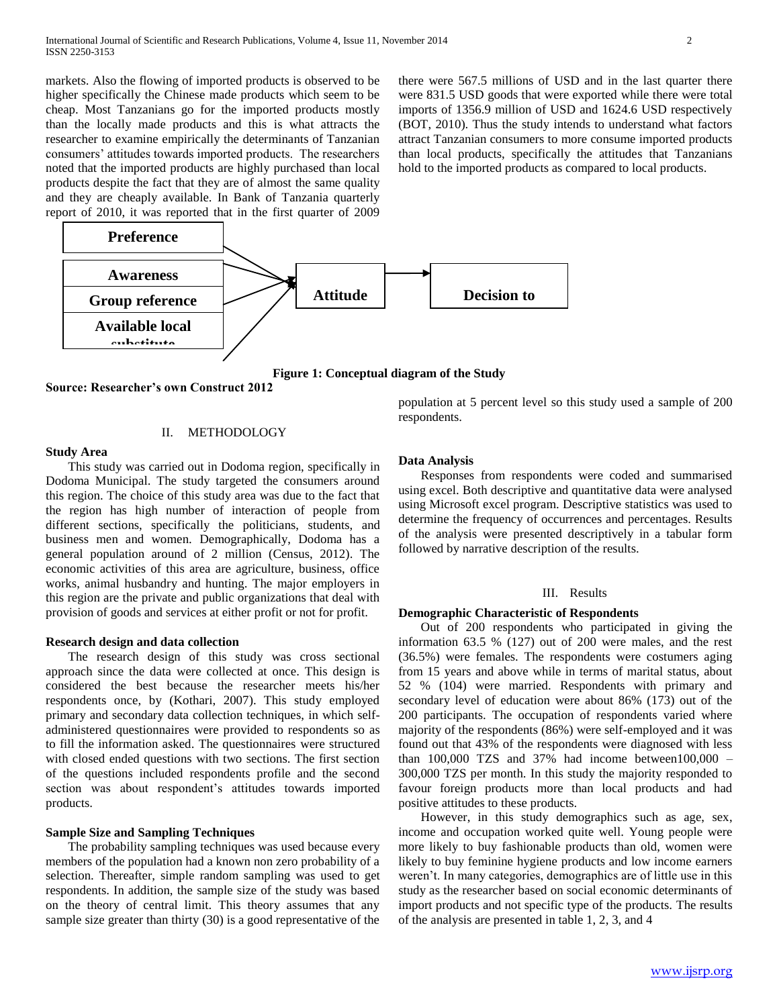markets. Also the flowing of imported products is observed to be higher specifically the Chinese made products which seem to be cheap. Most Tanzanians go for the imported products mostly than the locally made products and this is what attracts the researcher to examine empirically the determinants of Tanzanian consumers" attitudes towards imported products. The researchers noted that the imported products are highly purchased than local products despite the fact that they are of almost the same quality and they are cheaply available. In Bank of Tanzania quarterly report of 2010, it was reported that in the first quarter of 2009 there were 567.5 millions of USD and in the last quarter there were 831.5 USD goods that were exported while there were total imports of 1356.9 million of USD and 1624.6 USD respectively (BOT, 2010). Thus the study intends to understand what factors attract Tanzanian consumers to more consume imported products than local products, specifically the attitudes that Tanzanians hold to the imported products as compared to local products.



**Figure 1: Conceptual diagram of the Study**

**Source: Researcher's own Construct 2012**

### II. METHODOLOGY

#### **Study Area**

 This study was carried out in Dodoma region, specifically in Dodoma Municipal. The study targeted the consumers around this region. The choice of this study area was due to the fact that the region has high number of interaction of people from different sections, specifically the politicians, students, and business men and women. Demographically, Dodoma has a general population around of 2 million (Census, 2012). The economic activities of this area are agriculture, business, office works, animal husbandry and hunting. The major employers in this region are the private and public organizations that deal with provision of goods and services at either profit or not for profit.

## **Research design and data collection**

 The research design of this study was cross sectional approach since the data were collected at once. This design is considered the best because the researcher meets his/her respondents once, by (Kothari, 2007). This study employed primary and secondary data collection techniques, in which selfadministered questionnaires were provided to respondents so as to fill the information asked. The questionnaires were structured with closed ended questions with two sections. The first section of the questions included respondents profile and the second section was about respondent's attitudes towards imported products.

## **Sample Size and Sampling Techniques**

 The probability sampling techniques was used because every members of the population had a known non zero probability of a selection. Thereafter, simple random sampling was used to get respondents. In addition, the sample size of the study was based on the theory of central limit. This theory assumes that any sample size greater than thirty (30) is a good representative of the

population at 5 percent level so this study used a sample of 200 respondents.

### **Data Analysis**

 Responses from respondents were coded and summarised using excel. Both descriptive and quantitative data were analysed using Microsoft excel program. Descriptive statistics was used to determine the frequency of occurrences and percentages. Results of the analysis were presented descriptively in a tabular form followed by narrative description of the results.

### III. Results

#### **Demographic Characteristic of Respondents**

 Out of 200 respondents who participated in giving the information 63.5 % (127) out of 200 were males, and the rest (36.5%) were females. The respondents were costumers aging from 15 years and above while in terms of marital status, about 52 % (104) were married. Respondents with primary and secondary level of education were about 86% (173) out of the 200 participants. The occupation of respondents varied where majority of the respondents (86%) were self-employed and it was found out that 43% of the respondents were diagnosed with less than  $100,000$  TZS and  $37\%$  had income between $100,000$  – 300,000 TZS per month. In this study the majority responded to favour foreign products more than local products and had positive attitudes to these products.

 However, in this study demographics such as age, sex, income and occupation worked quite well. Young people were more likely to buy fashionable products than old, women were likely to buy feminine hygiene products and low income earners weren"t. In many categories, demographics are of little use in this study as the researcher based on social economic determinants of import products and not specific type of the products. The results of the analysis are presented in table 1, 2, 3, and 4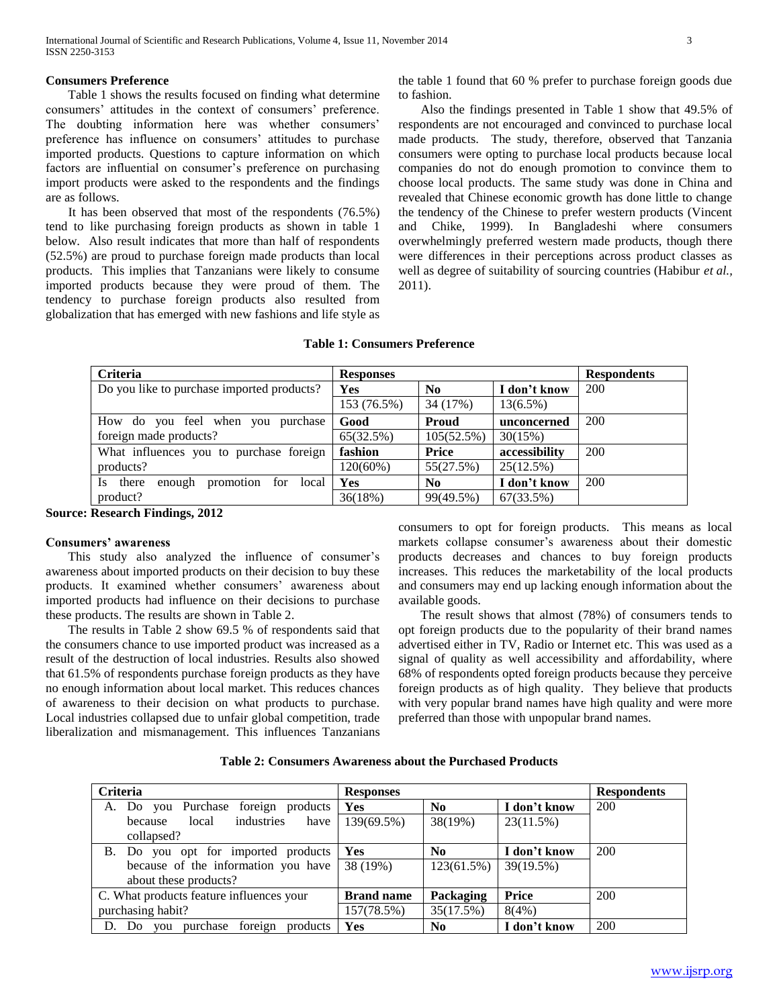### **Consumers Preference**

 Table 1 shows the results focused on finding what determine consumers' attitudes in the context of consumers' preference. The doubting information here was whether consumers' preference has influence on consumers' attitudes to purchase imported products. Questions to capture information on which factors are influential on consumer's preference on purchasing import products were asked to the respondents and the findings are as follows.

 It has been observed that most of the respondents (76.5%) tend to like purchasing foreign products as shown in table 1 below. Also result indicates that more than half of respondents (52.5%) are proud to purchase foreign made products than local products. This implies that Tanzanians were likely to consume imported products because they were proud of them. The tendency to purchase foreign products also resulted from globalization that has emerged with new fashions and life style as

the table 1 found that 60 % prefer to purchase foreign goods due to fashion.

 Also the findings presented in Table 1 show that 49.5% of respondents are not encouraged and convinced to purchase local made products. The study, therefore, observed that Tanzania consumers were opting to purchase local products because local companies do not do enough promotion to convince them to choose local products. The same study was done in China and revealed that Chinese economic growth has done little to change the tendency of the Chinese to prefer western products (Vincent and Chike, 1999). In Bangladeshi where consumers overwhelmingly preferred western made products, though there were differences in their perceptions across product classes as well as degree of suitability of sourcing countries (Habibur *et al.,* 2011).

| <b>Table 1: Consumers Preference</b> |
|--------------------------------------|
|                                      |

| Criteria                                     | <b>Responses</b> |                |               | <b>Respondents</b> |
|----------------------------------------------|------------------|----------------|---------------|--------------------|
| Do you like to purchase imported products?   | Yes              | No             | I don't know  | 200                |
|                                              | 153 (76.5%)      | 34 (17%)       | $13(6.5\%)$   |                    |
| How do you feel when you purchase            | Good             | <b>Proud</b>   | unconcerned   | 200                |
| foreign made products?                       | 65(32.5%)        | 105(52.5%)     | 30(15%)       |                    |
| What influences you to purchase foreign      | fashion          | Price          | accessibility | 200                |
| products?                                    | $120(60\%)$      | 55(27.5%)      | 25(12.5%)     |                    |
| Is there<br>promotion for<br>enough<br>local | Yes              | N <sub>0</sub> | I don't know  | 200                |
| product?                                     | 36(18%)          | 99(49.5%)      | 67(33.5%)     |                    |

**Source: Research Findings, 2012**

#### **Consumers' awareness**

This study also analyzed the influence of consumer's awareness about imported products on their decision to buy these products. It examined whether consumers' awareness about imported products had influence on their decisions to purchase these products. The results are shown in Table 2.

 The results in Table 2 show 69.5 % of respondents said that the consumers chance to use imported product was increased as a result of the destruction of local industries. Results also showed that 61.5% of respondents purchase foreign products as they have no enough information about local market. This reduces chances of awareness to their decision on what products to purchase. Local industries collapsed due to unfair global competition, trade liberalization and mismanagement. This influences Tanzanians

consumers to opt for foreign products. This means as local markets collapse consumer's awareness about their domestic products decreases and chances to buy foreign products increases. This reduces the marketability of the local products and consumers may end up lacking enough information about the available goods.

 The result shows that almost (78%) of consumers tends to opt foreign products due to the popularity of their brand names advertised either in TV, Radio or Internet etc. This was used as a signal of quality as well accessibility and affordability, where 68% of respondents opted foreign products because they perceive foreign products as of high quality. They believe that products with very popular brand names have high quality and were more preferred than those with unpopular brand names.

|  |  | Table 2: Consumers Awareness about the Purchased Products |
|--|--|-----------------------------------------------------------|
|--|--|-----------------------------------------------------------|

| <b>Criteria</b>                                 | <b>Responses</b>  |                  |              | <b>Respondents</b> |
|-------------------------------------------------|-------------------|------------------|--------------|--------------------|
| A. Do you Purchase foreign products             | Yes               | No               | I don't know | <b>200</b>         |
| industries<br>have<br>local<br>because          | 139(69.5%)        | 38(19%)          | 23(11.5%)    |                    |
| collapsed?                                      |                   |                  |              |                    |
| B. Do you opt for imported products             | Yes               | No               | I don't know | 200                |
| because of the information you have             | 38 (19%)          | 123(61.5%)       | 39(19.5%)    |                    |
| about these products?                           |                   |                  |              |                    |
| C. What products feature influences your        | <b>Brand name</b> | <b>Packaging</b> | Price        | 200                |
| purchasing habit?                               | 157(78.5%)        | 35(17.5%)        | 8(4%)        |                    |
| purchase<br>foreign<br>D. Do<br>products<br>you | Yes               | No               | I don't know | 200                |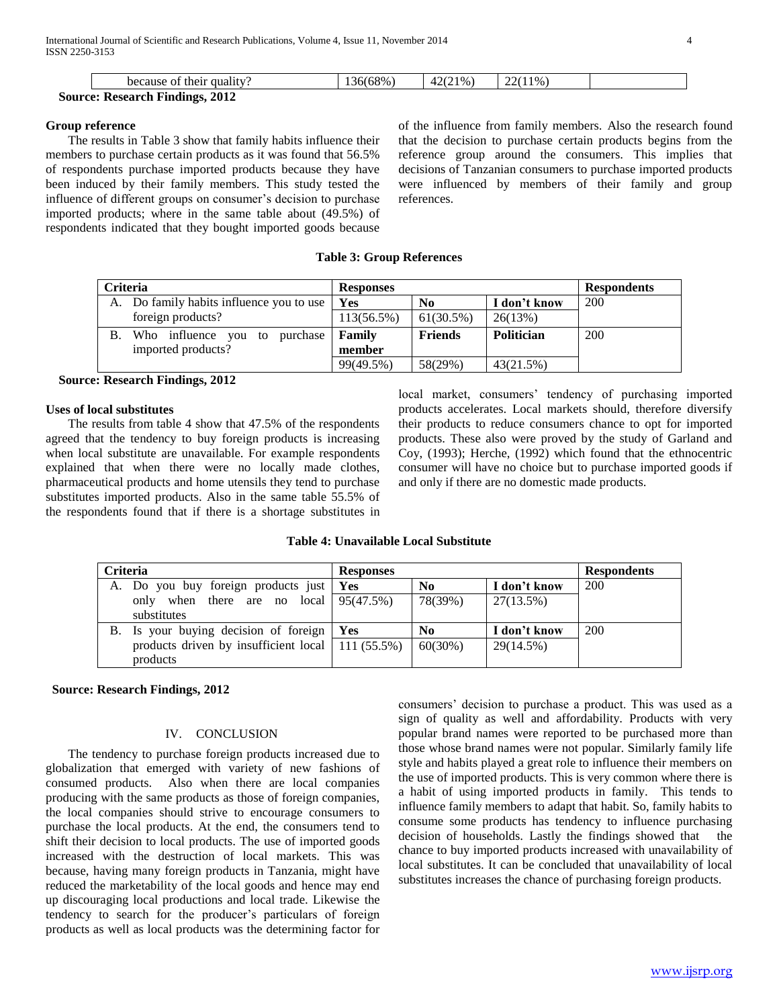|                                        | because of their quality? | 36(68% | $'21\%$ | $22(11\%)$ |  |
|----------------------------------------|---------------------------|--------|---------|------------|--|
| <b>Source: Research Findings, 2012</b> |                           |        |         |            |  |

#### **Group reference**

 The results in Table 3 show that family habits influence their members to purchase certain products as it was found that 56.5% of respondents purchase imported products because they have been induced by their family members. This study tested the influence of different groups on consumer's decision to purchase imported products; where in the same table about (49.5%) of respondents indicated that they bought imported goods because

of the influence from family members. Also the research found that the decision to purchase certain products begins from the reference group around the consumers. This implies that decisions of Tanzanian consumers to purchase imported products were influenced by members of their family and group references.

#### **Table 3: Group References**

| <b>Criteria</b>                          | <b>Responses</b> |                |                   | <b>Respondents</b> |  |
|------------------------------------------|------------------|----------------|-------------------|--------------------|--|
| A. Do family habits influence you to use | Yes              | No             | I don't know      | 200                |  |
| foreign products?                        | 113(56.5%)       | $61(30.5\%)$   | 26(13%)           |                    |  |
| Who influence you to<br>В.<br>purchase   | Family           | <b>Friends</b> | <b>Politician</b> | 200                |  |
| imported products?                       | member           |                |                   |                    |  |
|                                          | 99(49.5%)        | 58(29%)        | 43(21.5%)         |                    |  |

 **Source: Research Findings, 2012**

#### **Uses of local substitutes**

 The results from table 4 show that 47.5% of the respondents agreed that the tendency to buy foreign products is increasing when local substitute are unavailable. For example respondents explained that when there were no locally made clothes, pharmaceutical products and home utensils they tend to purchase substitutes imported products. Also in the same table 55.5% of the respondents found that if there is a shortage substitutes in local market, consumers' tendency of purchasing imported products accelerates. Local markets should, therefore diversify their products to reduce consumers chance to opt for imported products. These also were proved by the study of Garland and Coy, (1993); Herche, (1992) which found that the ethnocentric consumer will have no choice but to purchase imported goods if and only if there are no domestic made products.

#### **Table 4: Unavailable Local Substitute**

| <b>Criteria</b>                                        | <b>Responses</b> |                |              | <b>Respondents</b> |
|--------------------------------------------------------|------------------|----------------|--------------|--------------------|
| A. Do you buy foreign products just   Yes              |                  | N <sub>0</sub> | I don't know | 200                |
| only when there are no local $95(47.5%)$               |                  | 78(39%)        | 27(13.5%)    |                    |
| substitutes                                            |                  |                |              |                    |
| B. Is your buying decision of foreign   Yes            |                  | N <sub>0</sub> | I don't know | 200                |
| products driven by insufficient local   111 $(55.5\%)$ |                  | $60(30\%)$     | 29(14.5%)    |                    |
| products                                               |                  |                |              |                    |

## **Source: Research Findings, 2012**

## IV. CONCLUSION

 The tendency to purchase foreign products increased due to globalization that emerged with variety of new fashions of consumed products. Also when there are local companies producing with the same products as those of foreign companies, the local companies should strive to encourage consumers to purchase the local products. At the end, the consumers tend to shift their decision to local products. The use of imported goods increased with the destruction of local markets. This was because, having many foreign products in Tanzania, might have reduced the marketability of the local goods and hence may end up discouraging local productions and local trade. Likewise the tendency to search for the producer's particulars of foreign products as well as local products was the determining factor for

consumers" decision to purchase a product. This was used as a sign of quality as well and affordability. Products with very popular brand names were reported to be purchased more than those whose brand names were not popular. Similarly family life style and habits played a great role to influence their members on the use of imported products. This is very common where there is a habit of using imported products in family. This tends to influence family members to adapt that habit. So, family habits to consume some products has tendency to influence purchasing decision of households. Lastly the findings showed that the chance to buy imported products increased with unavailability of local substitutes. It can be concluded that unavailability of local substitutes increases the chance of purchasing foreign products.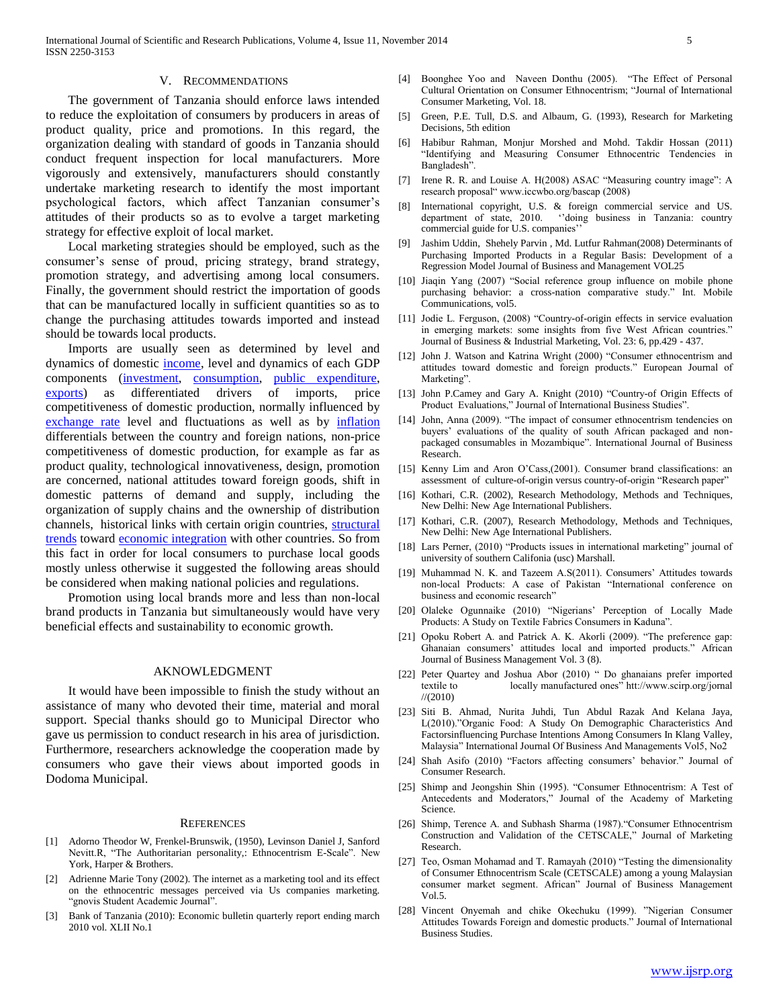#### V. RECOMMENDATIONS

 The government of Tanzania should enforce laws intended to reduce the exploitation of consumers by producers in areas of product quality, price and promotions. In this regard, the organization dealing with standard of goods in Tanzania should conduct frequent inspection for local manufacturers. More vigorously and extensively, manufacturers should constantly undertake marketing research to identify the most important psychological factors, which affect Tanzanian consumer's attitudes of their products so as to evolve a target marketing strategy for effective exploit of local market.

 Local marketing strategies should be employed, such as the consumer"s sense of proud, pricing strategy, brand strategy, promotion strategy, and advertising among local consumers. Finally, the government should restrict the importation of goods that can be manufactured locally in sufficient quantities so as to change the purchasing attitudes towards imported and instead should be towards local products.

 Imports are usually seen as determined by level and dynamics of domestic [income,](http://www.economicswebinstitute.org/glossary/gdp.htm) level and dynamics of each GDP components [\(investment,](http://www.economicswebinstitute.org/glossary/invest.htm) [consumption,](http://www.economicswebinstitute.org/glossary/cons.htm) [public expenditure,](http://www.economicswebinstitute.org/glossary/pubexp.htm)  [exports\)](http://www.economicswebinstitute.org/glossary/exports.htm) as differentiated drivers of imports, price competitiveness of domestic production, normally influenced by [exchange rate](http://www.economicswebinstitute.org/glossary/exchrate.htm) level and fluctuations as well as by [inflation](http://www.economicswebinstitute.org/glossary/inflat.htm) differentials between the country and foreign nations, non-price competitiveness of domestic production, for example as far as product quality, technological innovativeness, design, promotion are concerned, national attitudes toward foreign goods, shift in domestic patterns of demand and supply, including the organization of supply chains and the ownership of distribution channels, historical links with certain origin countries, [structural](http://www.economicswebinstitute.org/essays/pianaprinceton.pdf)  [trends](http://www.economicswebinstitute.org/essays/pianaprinceton.pdf) toward [economic integration](http://www.economicswebinstitute.org/essays/tradehierarchy.htm) with other countries. So from this fact in order for local consumers to purchase local goods mostly unless otherwise it suggested the following areas should be considered when making national policies and regulations.

 Promotion using local brands more and less than non-local brand products in Tanzania but simultaneously would have very beneficial effects and sustainability to economic growth.

#### AKNOWLEDGMENT

 It would have been impossible to finish the study without an assistance of many who devoted their time, material and moral support. Special thanks should go to Municipal Director who gave us permission to conduct research in his area of jurisdiction. Furthermore, researchers acknowledge the cooperation made by consumers who gave their views about imported goods in Dodoma Municipal.

#### **REFERENCES**

- [1] Adorno Theodor W, Frenkel-Brunswik, (1950), Levinson Daniel J, Sanford Nevitt.R, "The Authoritarian personality,: Ethnocentrism E-Scale". New York, Harper & Brothers.
- [2] Adrienne Marie Tony (2002). The internet as a marketing tool and its effect on the ethnocentric messages perceived via Us companies marketing. "gnovis Student Academic Journal".
- [3] Bank of Tanzania (2010): Economic bulletin quarterly report ending march 2010 vol. XLII No.1
- [4] Boonghee Yoo and Naveen Donthu (2005). "The Effect of Personal Cultural Orientation on Consumer Ethnocentrism; "Journal of International Consumer Marketing, Vol. 18.
- [5] Green, P.E. Tull, D.S. and Albaum, G. (1993), Research for Marketing Decisions, 5th edition
- [6] Habibur Rahman, Monjur Morshed and Mohd. Takdir Hossan (2011) "Identifying and Measuring Consumer Ethnocentric Tendencies in Bangladesh".
- [7] Irene R. R. and Louise A. H(2008) ASAC "Measuring country image": A research proposal" www.iccwbo.org/bascap (2008)
- [8] International copyright, U.S. & foreign commercial service and US. department of state, 2010. "doing business in Tanzania: country commercial guide for U.S. companies'
- [9] Jashim Uddin, Shehely Parvin , Md. Lutfur Rahman(2008) Determinants of Purchasing Imported Products in a Regular Basis: Development of a Regression Model Journal of Business and Management VOL25
- [10] Jiaqin Yang (2007) "Social reference group influence on mobile phone purchasing behavior: a cross-nation comparative study." Int. Mobile Communications, vol5.
- [11] Jodie L. Ferguson, (2008) "Country-of-origin effects in service evaluation in emerging markets: some insights from five West African countries." Journal of Business & Industrial Marketing, Vol. 23: 6, pp.429 - 437.
- [12] John J. Watson and Katrina Wright (2000) "Consumer ethnocentrism and attitudes toward domestic and foreign products." European Journal of Marketing".
- [13] John P.Camey and Gary A. Knight (2010) "Country-of Origin Effects of Product Evaluations," Journal of International Business Studies".
- [14] John, Anna (2009). "The impact of consumer ethnocentrism tendencies on buyers' evaluations of the quality of south African packaged and nonpackaged consumables in Mozambique". International Journal of Business Research.
- [15] Kenny Lim and Aron O'Cass,(2001). Consumer brand classifications: an assessment of culture-of-origin versus country-of-origin "Research paper"
- [16] Kothari, C.R. (2002), Research Methodology, Methods and Techniques, New Delhi: New Age International Publishers.
- [17] Kothari, C.R. (2007), Research Methodology, Methods and Techniques, New Delhi: New Age International Publishers.
- [18] Lars Perner, (2010) "Products issues in international marketing" journal of university of southern Califonia (usc) Marshall.
- [19] Muhammad N. K. and Tazeem A.S(2011). Consumers' Attitudes towards non-local Products: A case of Pakistan "International conference on business and economic research"
- [20] Olaleke Ogunnaike (2010) "Nigerians' Perception of Locally Made Products: A Study on Textile Fabrics Consumers in Kaduna".
- [21] Opoku Robert A. and Patrick A. K. Akorli (2009). "The preference gap: Ghanaian consumers" attitudes local and imported products." African Journal of Business Management Vol. 3 (8).
- [22] Peter Quartey and Joshua Abor (2010) " Do ghanaians prefer imported textile to locally manufactured ones" htt://www.scirp.org/jornal //(2010)
- [23] Siti B. Ahmad, Nurita Juhdi, Tun Abdul Razak And Kelana Jaya, L(2010)."Organic Food: A Study On Demographic Characteristics And Factorsinfluencing Purchase Intentions Among Consumers In Klang Valley, Malaysia" International Journal Of Business And Managements Vol5, No2
- [24] Shah Asifo (2010) "Factors affecting consumers' behavior." Journal of Consumer Research.
- [25] Shimp and Jeongshin Shin (1995). "Consumer Ethnocentrism: A Test of Antecedents and Moderators," Journal of the Academy of Marketing Science.
- [26] Shimp, Terence A. and Subhash Sharma (1987)."Consumer Ethnocentrism Construction and Validation of the CETSCALE," Journal of Marketing Research.
- [27] Teo, Osman Mohamad and T. Ramayah (2010) "Testing the dimensionality of Consumer Ethnocentrism Scale (CETSCALE) among a young Malaysian consumer market segment. African" Journal of Business Management Vol.5.
- [28] Vincent Onyemah and chike Okechuku (1999). "Nigerian Consumer Attitudes Towards Foreign and domestic products." Journal of International Business Studies.